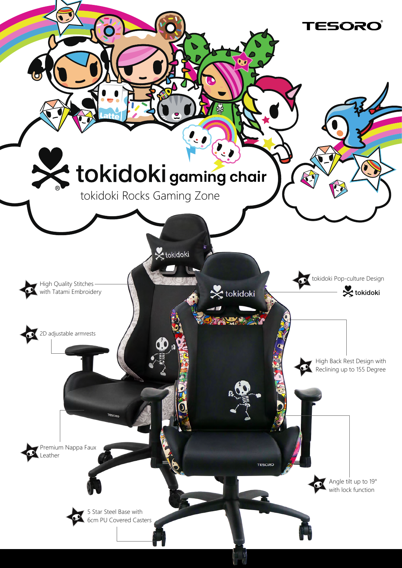